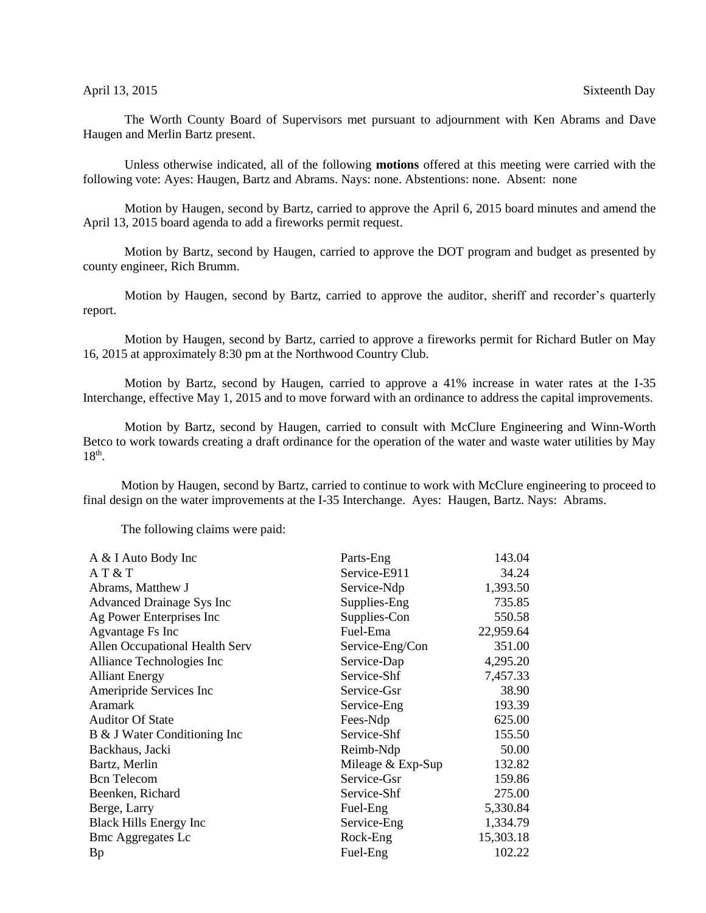## April 13, 2015 Sixteenth Day

The Worth County Board of Supervisors met pursuant to adjournment with Ken Abrams and Dave Haugen and Merlin Bartz present.

Unless otherwise indicated, all of the following **motions** offered at this meeting were carried with the following vote: Ayes: Haugen, Bartz and Abrams. Nays: none. Abstentions: none. Absent: none

Motion by Haugen, second by Bartz, carried to approve the April 6, 2015 board minutes and amend the April 13, 2015 board agenda to add a fireworks permit request.

Motion by Bartz, second by Haugen, carried to approve the DOT program and budget as presented by county engineer, Rich Brumm.

Motion by Haugen, second by Bartz, carried to approve the auditor, sheriff and recorder's quarterly report.

Motion by Haugen, second by Bartz, carried to approve a fireworks permit for Richard Butler on May 16, 2015 at approximately 8:30 pm at the Northwood Country Club.

Motion by Bartz, second by Haugen, carried to approve a 41% increase in water rates at the I-35 Interchange, effective May 1, 2015 and to move forward with an ordinance to address the capital improvements.

Motion by Bartz, second by Haugen, carried to consult with McClure Engineering and Winn-Worth Betco to work towards creating a draft ordinance for the operation of the water and waste water utilities by May  $18<sup>th</sup>$ .

 Motion by Haugen, second by Bartz, carried to continue to work with McClure engineering to proceed to final design on the water improvements at the I-35 Interchange. Ayes: Haugen, Bartz. Nays: Abrams.

The following claims were paid:

| Parts-Eng           | 143.04    |
|---------------------|-----------|
| Service-E911        | 34.24     |
| Service-Ndp         | 1,393.50  |
| Supplies-Eng        | 735.85    |
| Supplies-Con        | 550.58    |
| Fuel-Ema            | 22,959.64 |
| Service-Eng/Con     | 351.00    |
| Service-Dap         | 4,295.20  |
| Service-Shf         | 7,457.33  |
| Service-Gsr         | 38.90     |
| Service-Eng         | 193.39    |
| Fees-Ndp            | 625.00    |
| Service-Shf         | 155.50    |
| Reimb-Ndp           | 50.00     |
| Mileage $&$ Exp-Sup | 132.82    |
| Service-Gsr         | 159.86    |
| Service-Shf         | 275.00    |
| Fuel-Eng            | 5,330.84  |
| Service-Eng         | 1,334.79  |
| Rock-Eng            | 15,303.18 |
| Fuel-Eng            | 102.22    |
|                     |           |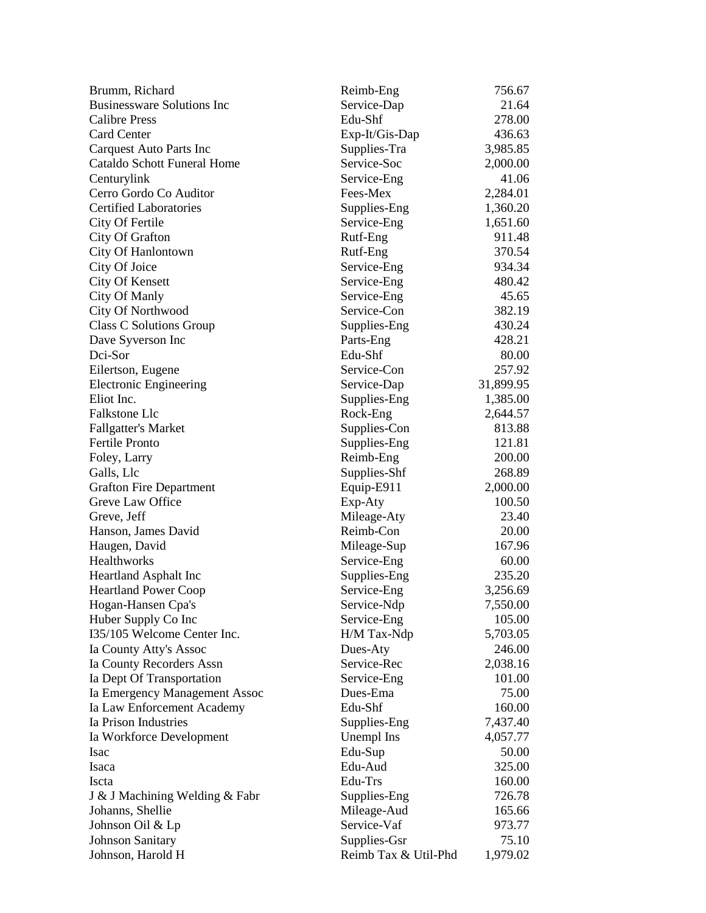| Brumm, Richard                     | Reimb-Eng            | 756.67    |
|------------------------------------|----------------------|-----------|
| <b>Businessware Solutions Inc</b>  | Service-Dap          | 21.64     |
| <b>Calibre Press</b>               | Edu-Shf              | 278.00    |
| <b>Card Center</b>                 | Exp-It/Gis-Dap       | 436.63    |
| Carquest Auto Parts Inc            | Supplies-Tra         | 3,985.85  |
| <b>Cataldo Schott Funeral Home</b> | Service-Soc          | 2,000.00  |
| Centurylink                        | Service-Eng          | 41.06     |
| Cerro Gordo Co Auditor             | Fees-Mex             | 2,284.01  |
| <b>Certified Laboratories</b>      | Supplies-Eng         | 1,360.20  |
| City Of Fertile                    | Service-Eng          | 1,651.60  |
| City Of Grafton                    | Rutf-Eng             | 911.48    |
| City Of Hanlontown                 | Rutf-Eng             | 370.54    |
| City Of Joice                      | Service-Eng          | 934.34    |
| City Of Kensett                    | Service-Eng          | 480.42    |
| City Of Manly                      | Service-Eng          | 45.65     |
| City Of Northwood                  | Service-Con          | 382.19    |
| <b>Class C Solutions Group</b>     | Supplies-Eng         | 430.24    |
| Dave Syverson Inc                  | Parts-Eng            | 428.21    |
| Dci-Sor                            | Edu-Shf              | 80.00     |
| Eilertson, Eugene                  | Service-Con          | 257.92    |
| <b>Electronic Engineering</b>      | Service-Dap          | 31,899.95 |
| Eliot Inc.                         | Supplies-Eng         | 1,385.00  |
| Falkstone Llc                      | Rock-Eng             | 2,644.57  |
| <b>Fallgatter's Market</b>         | Supplies-Con         | 813.88    |
| Fertile Pronto                     | Supplies-Eng         | 121.81    |
| Foley, Larry                       | Reimb-Eng            | 200.00    |
| Galls, Llc                         | Supplies-Shf         | 268.89    |
| <b>Grafton Fire Department</b>     | Equip-E911           | 2,000.00  |
| Greve Law Office                   | Exp-Aty              | 100.50    |
| Greve, Jeff                        | Mileage-Aty          | 23.40     |
| Hanson, James David                | Reimb-Con            | 20.00     |
| Haugen, David                      | Mileage-Sup          | 167.96    |
| Healthworks                        | Service-Eng          | 60.00     |
| Heartland Asphalt Inc              | Supplies-Eng         | 235.20    |
| <b>Heartland Power Coop</b>        | Service-Eng          | 3,256.69  |
| Hogan-Hansen Cpa's                 | Service-Ndp          | 7,550.00  |
| Huber Supply Co Inc                | Service-Eng          | 105.00    |
| I35/105 Welcome Center Inc.        | H/M Tax-Ndp          | 5,703.05  |
| Ia County Atty's Assoc             | Dues-Aty             | 246.00    |
|                                    | Service-Rec          |           |
| Ia County Recorders Assn           |                      | 2,038.16  |
| Ia Dept Of Transportation          | Service-Eng          | 101.00    |
| Ia Emergency Management Assoc      | Dues-Ema             | 75.00     |
| Ia Law Enforcement Academy         | Edu-Shf              | 160.00    |
| Ia Prison Industries               | Supplies-Eng         | 7,437.40  |
| Ia Workforce Development           | Unempl Ins           | 4,057.77  |
| <b>Isac</b>                        | Edu-Sup              | 50.00     |
| Isaca                              | Edu-Aud              | 325.00    |
| Iscta                              | Edu-Trs              | 160.00    |
| J & J Machining Welding & Fabr     | Supplies-Eng         | 726.78    |
| Johanns, Shellie                   | Mileage-Aud          | 165.66    |
| Johnson Oil & Lp                   | Service-Vaf          | 973.77    |
| <b>Johnson Sanitary</b>            | Supplies-Gsr         | 75.10     |
| Johnson, Harold H                  | Reimb Tax & Util-Phd | 1,979.02  |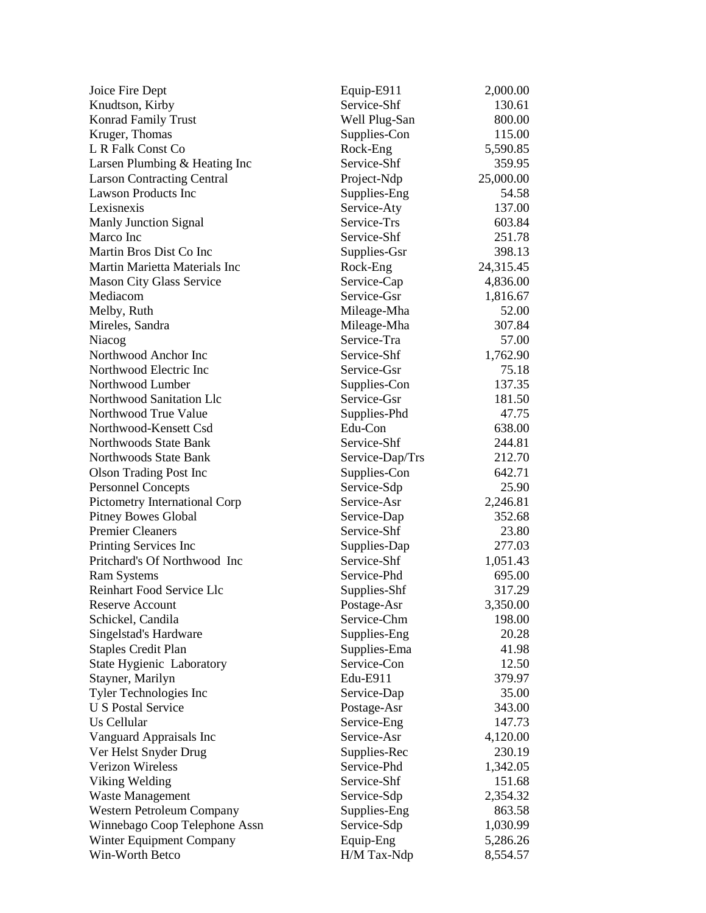| Joice Fire Dept                   | Equip-E911      | 2,000.00  |
|-----------------------------------|-----------------|-----------|
| Knudtson, Kirby                   | Service-Shf     | 130.61    |
| Konrad Family Trust               | Well Plug-San   | 800.00    |
| Kruger, Thomas                    | Supplies-Con    | 115.00    |
| L R Falk Const Co                 | Rock-Eng        | 5,590.85  |
| Larsen Plumbing & Heating Inc     | Service-Shf     | 359.95    |
| <b>Larson Contracting Central</b> | Project-Ndp     | 25,000.00 |
| <b>Lawson Products Inc</b>        | Supplies-Eng    | 54.58     |
| Lexisnexis                        | Service-Aty     | 137.00    |
| <b>Manly Junction Signal</b>      | Service-Trs     | 603.84    |
| Marco Inc                         | Service-Shf     | 251.78    |
| Martin Bros Dist Co Inc           | Supplies-Gsr    | 398.13    |
| Martin Marietta Materials Inc     | Rock-Eng        | 24,315.45 |
| <b>Mason City Glass Service</b>   | Service-Cap     | 4,836.00  |
| Mediacom                          | Service-Gsr     | 1,816.67  |
| Melby, Ruth                       | Mileage-Mha     | 52.00     |
| Mireles, Sandra                   | Mileage-Mha     | 307.84    |
| Niacog                            | Service-Tra     | 57.00     |
| Northwood Anchor Inc              | Service-Shf     | 1,762.90  |
| Northwood Electric Inc            | Service-Gsr     | 75.18     |
| Northwood Lumber                  | Supplies-Con    | 137.35    |
| Northwood Sanitation Llc          | Service-Gsr     | 181.50    |
| Northwood True Value              | Supplies-Phd    | 47.75     |
| Northwood-Kensett Csd             | Edu-Con         | 638.00    |
| Northwoods State Bank             | Service-Shf     | 244.81    |
| Northwoods State Bank             | Service-Dap/Trs | 212.70    |
| <b>Olson Trading Post Inc</b>     | Supplies-Con    | 642.71    |
| <b>Personnel Concepts</b>         | Service-Sdp     | 25.90     |
| Pictometry International Corp     | Service-Asr     | 2,246.81  |
| <b>Pitney Bowes Global</b>        | Service-Dap     | 352.68    |
| <b>Premier Cleaners</b>           | Service-Shf     | 23.80     |
| Printing Services Inc             | Supplies-Dap    | 277.03    |
| Pritchard's Of Northwood Inc      | Service-Shf     | 1,051.43  |
| <b>Ram Systems</b>                | Service-Phd     | 695.00    |
| Reinhart Food Service Llc         | Supplies-Shf    | 317.29    |
| <b>Reserve Account</b>            | Postage-Asr     | 3,350.00  |
| Schickel, Candila                 | Service-Chm     | 198.00    |
| Singelstad's Hardware             | Supplies-Eng    | 20.28     |
| <b>Staples Credit Plan</b>        | Supplies-Ema    | 41.98     |
| State Hygienic Laboratory         | Service-Con     | 12.50     |
| Stayner, Marilyn                  | Edu-E911        | 379.97    |
| Tyler Technologies Inc            | Service-Dap     | 35.00     |
| <b>U S Postal Service</b>         | Postage-Asr     | 343.00    |
| Us Cellular                       | Service-Eng     | 147.73    |
| Vanguard Appraisals Inc           | Service-Asr     | 4,120.00  |
| Ver Helst Snyder Drug             | Supplies-Rec    | 230.19    |
| <b>Verizon Wireless</b>           | Service-Phd     | 1,342.05  |
| Viking Welding                    | Service-Shf     | 151.68    |
| Waste Management                  | Service-Sdp     | 2,354.32  |
| Western Petroleum Company         | Supplies-Eng    | 863.58    |
| Winnebago Coop Telephone Assn     | Service-Sdp     | 1,030.99  |
| Winter Equipment Company          | Equip-Eng       | 5,286.26  |
| Win-Worth Betco                   | H/M Tax-Ndp     | 8,554.57  |
|                                   |                 |           |